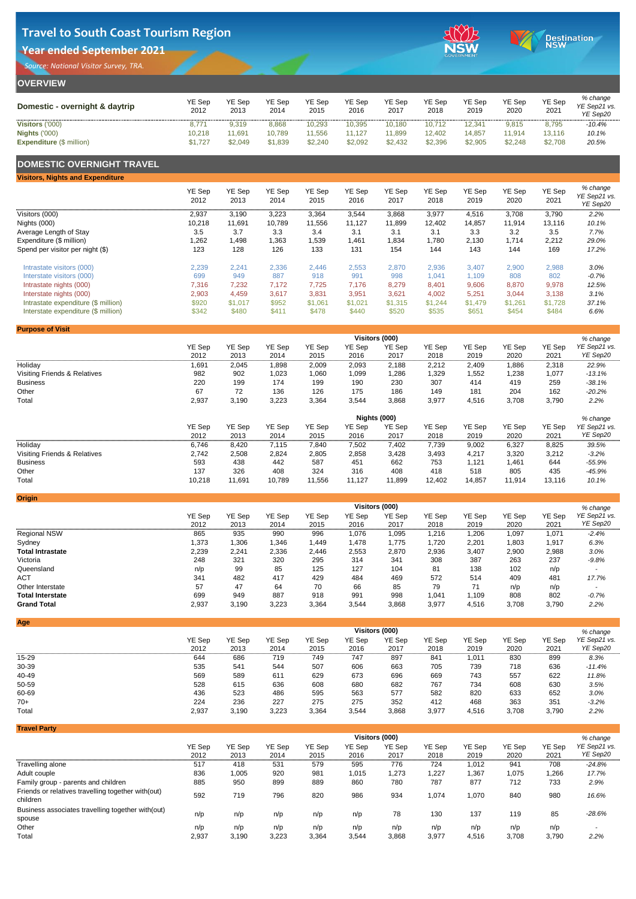| <b>OVERVIEW</b>                                         |                       |                       |                       |                       |                   |                       |                       |                       |                       |                       |                                      |
|---------------------------------------------------------|-----------------------|-----------------------|-----------------------|-----------------------|-------------------|-----------------------|-----------------------|-----------------------|-----------------------|-----------------------|--------------------------------------|
| Domestic - overnight & daytrip                          | <b>YE Sep</b><br>2012 | <b>YE Sep</b><br>2013 | <b>YE Sep</b><br>2014 | <b>YE Sep</b><br>2015 | YE Sep<br>2016    | <b>YE Sep</b><br>2017 | <b>YE Sep</b><br>2018 | <b>YE Sep</b><br>2019 | <b>YE Sep</b><br>2020 | <b>YE Sep</b><br>2021 | % change<br>YE Sep21 vs.<br>YE Sep20 |
| <b>Visitors ('000)</b>                                  | 8,771                 | 9,319                 | 8,868                 | 10,293                | 10,395            | 10,180                | 10,712                | 12,341                | 9,815                 | 8,795                 | $-10.4\%$                            |
| <b>Nights ('000)</b><br><b>Expenditure (\$ million)</b> | 10,218<br>\$1,727     | 1,691<br>\$2,049      | 10,789<br>\$1,839     | 11,556<br>\$2,240     | 11,127<br>\$2,092 | 11,899<br>\$2,432     | 12,402<br>\$2,396     | 14,857<br>\$2,905     | 11,914<br>\$2,248     | 13,116<br>\$2,708     | 10.1%<br>20.5%                       |
|                                                         |                       |                       |                       |                       |                   |                       |                       |                       |                       |                       |                                      |

#### **DOMESTIC OVERNIGHT TRAVEL**

| <b>Visitors, Nights and Expenditure</b> |                       |                |                       |                       |                       |                |                       |                       |                       |                       |                                      |
|-----------------------------------------|-----------------------|----------------|-----------------------|-----------------------|-----------------------|----------------|-----------------------|-----------------------|-----------------------|-----------------------|--------------------------------------|
|                                         | <b>YE Sep</b><br>2012 | YE Sep<br>2013 | <b>YE Sep</b><br>2014 | <b>YE Sep</b><br>2015 | <b>YE Sep</b><br>2016 | YE Sep<br>2017 | <b>YE Sep</b><br>2018 | <b>YE Sep</b><br>2019 | <b>YE Sep</b><br>2020 | <b>YE Sep</b><br>2021 | % change<br>YE Sep21 vs.<br>YE Sep20 |
| Visitors (000)                          | 2,937                 | 3,190          | 3,223                 | 3,364                 | 3,544                 | 3,868          | 3,977                 | 4,516                 | 3,708                 | 3,790                 | 2.2%                                 |
| Nights (000)                            | 10,218                | 11,691         | 10,789                | 11,556                | 11,127                | 11,899         | 12,402                | 14,857                | 11,914                | 13,116                | 10.1%                                |
| <b>Average Length of Stay</b>           | 3.5                   | 3.7            | 3.3                   | 3.4                   | 3.1                   | 3.1            | 3.1                   | 3.3                   | 3.2                   | 3.5                   | 7.7%                                 |
| Expenditure (\$ million)                | 1,262                 | 1,498          | 1,363                 | 1,539                 | ,461                  | 1,834          | 1,780                 | 2,130                 | 1,714                 | 2,212                 | 29.0%                                |
| Spend per visitor per night (\$)        | 123                   | 128            | 126                   | 133                   | 131                   | 154            | 144                   | 143                   | 144                   | 169                   | 17.2%                                |
| Intrastate visitors (000)               | 2,239                 | 2,241          | 2,336                 | 2,446                 | 2,553                 | 2,870          | 2,936                 | 3,407                 | 2,900                 | 2,988                 | 3.0%                                 |
| Interstate visitors (000)               | 699                   | 949            | 887                   | 918                   | 991                   | 998            | 1,041                 | 1,109                 | 808                   | 802                   | $-0.7%$                              |
| Intrastate nights (000)                 | 7,316                 | 7,232          | 7,172                 | 7,725                 | 7,176                 | 8,279          | 8,401                 | 9,606                 | 8,870                 | 9,978                 | 12.5%                                |
| Interstate nights (000)                 | 2,903                 | 4,459          | 3,617                 | 3,831                 | 3,951                 | 3,621          | 4,002                 | 5,251                 | 3,044                 | 3,138                 | 3.1%                                 |
| Intrastate expenditure (\$ million)     | \$920                 | \$1,017        | \$952                 | \$1,061               | \$1,021               | \$1,315        | \$1,244               | \$1,479               | \$1,261               | \$1,728               | 37.1%                                |
| Interstate expenditure (\$ million)     | \$342                 | \$480          | \$41'                 | \$478                 | \$440                 | \$520          | \$535                 | \$651                 | \$454                 | \$484                 | 6.6%                                 |

**Origin**

| <b>Purpose of Visit</b>                 |               |               |               |               |               |                       |               |               |               |               |              |
|-----------------------------------------|---------------|---------------|---------------|---------------|---------------|-----------------------|---------------|---------------|---------------|---------------|--------------|
|                                         |               |               |               |               |               | <b>Visitors (000)</b> |               |               |               |               | % change     |
|                                         | <b>YE Sep</b> | <b>YE Sep</b> | <b>YE Sep</b> | <b>YE Sep</b> | <b>YE Sep</b> | <b>YE Sep</b>         | <b>YE Sep</b> | <b>YE Sep</b> | <b>YE Sep</b> | <b>YE Sep</b> | YE Sep21 vs. |
|                                         | 2012          | 2013          | 2014          | 2015          | 2016          | 2017                  | 2018          | 2019          | 2020          | 2021          | YE Sep20     |
| Holiday                                 | 1,691         | 2,045         | ,898          | 2,009         | 2,093         | 2,188                 | 2,212         | 2,409         | 886,          | 2,318         | 22.9%        |
| <b>Visiting Friends &amp; Relatives</b> | 982           | 902           | ,023          | ,060          | 1,099         | ,286                  | 1,329         | 1,552         | 1,238         | 1,077         | $-13.1%$     |
| <b>Business</b>                         | 220           | 199           | 174           | 199           | 190           | 230                   | 307           | 414           | 419           | 259           | $-38.1%$     |
| Other                                   | 67            | 72            | 136           | 126           | 175           | 186                   | 149           | 181           | 204           | 162           | $-20.2%$     |
| Total                                   | 2,937         | 3,190         | 3,223         | 3,364         | 3,544         | 3,868                 | 3,977         | 4,516         | 3,708         | 3,790         | 2.2%         |





|                                         | Nights (000)<br>% change |               |               |               |               |               |               |        |               |               |              |
|-----------------------------------------|--------------------------|---------------|---------------|---------------|---------------|---------------|---------------|--------|---------------|---------------|--------------|
|                                         | <b>YE Sep</b>            | <b>YE Sep</b> | <b>YE Sep</b> | <b>YE Sep</b> | <b>YE Sep</b> | <b>YE Sep</b> | <b>YE Sep</b> | YE Sep | <b>YE Sep</b> | <b>YE Sep</b> | YE Sep21 vs. |
|                                         | 2012                     | 2013          | 2014          | 2015          | 2016          | 2017          | 2018          | 2019   | 2020          | 2021          | YE Sep20     |
| Holiday                                 | 6,746                    | 8,420         | 7,115         | 7,840         | 7,502         | 7,402         | 7,739         | 9,002  | 6,327         | 8,825         | 39.5%        |
| <b>Visiting Friends &amp; Relatives</b> | 2,742                    | 2,508         | 2,824         | 2,805         | 2,858         | 3,428         | 3,493         | 4,217  | 3,320         | 3,212         | $-3.2%$      |
| <b>Business</b>                         | 593                      | 438           | 442           | 587           | 451           | 662           | 753           | l,121  | 1,461         | 644           | $-55.9%$     |
| Other                                   | 137                      | 326           | 408           | 324           | 316           | 408           | 418           | 518    | 805           | 435           | $-45.9%$     |
| Total                                   | 10,218                   | 11,691        | 10,789        | 11,556        | 11,127        | 11,899        | 12,402        | 14,857 | 11,914        | 13,116        | 10.1%        |

|                         | <b>Visitors (000)</b> |               |               |               |               |               |               |               |               |               |              |  |
|-------------------------|-----------------------|---------------|---------------|---------------|---------------|---------------|---------------|---------------|---------------|---------------|--------------|--|
|                         | <b>YE Sep</b>         | <b>YE Sep</b> | <b>YE Sep</b> | <b>YE Sep</b> | <b>YE Sep</b> | <b>YE Sep</b> | <b>YE Sep</b> | <b>YE Sep</b> | <b>YE Sep</b> | <b>YE Sep</b> | YE Sep21 vs. |  |
|                         | 2012                  | 2013          | 2014          | 2015          | 2016          | 2017          | 2018          | 2019          | 2020          | 2021          | YE Sep20     |  |
| <b>Regional NSW</b>     | 865                   | 935           | 990           | 996           | 1,076         | l,095         | 1,216         | 206, ا        | 1,097         | 1,071         | $-2.4%$      |  |
| Sydney                  | 1,373                 | 1,306         | ,346          | ,449          | 1,478         | 1,775         | 1,720         | 2,201         | 1,803         | 1,917         | 6.3%         |  |
| <b>Total Intrastate</b> | 2,239                 | 2,241         | 2,336         | 2,446         | 2,553         | 2,870         | 2,936         | 3,407         | 2,900         | 2,988         | 3.0%         |  |
| Victoria                | 248                   | 321           | 320           | 295           | 314           | 341           | 308           | 387           | 263           | 237           | $-9.8%$      |  |
| Queensland              | n/p                   | 99            | 85            | 125           | 127           | 104           | 81            | 138           | 102           | n/p           |              |  |
| <b>ACT</b>              | 341                   | 482           | 417           | 429           | 484           | 469           | 572           | 514           | 409           | 481           | 17.7%        |  |
| Other Interstate        | 57                    | 47            | 64            | 70            | 66            | 85            | 79            | 71            | n/p           | n/p           |              |  |
| <b>Total Interstate</b> | 699                   | 949           | 887           | 918           | 991           | 998           | 1,041         | 1,109         | 808           | 802           | $-0.7%$      |  |
| <b>Grand Total</b>      | 2,937                 | 3,190         | 3,223         | 3,364         | 3,544         | 3,868         | 3,977         | 4,516         | 3,708         | 3,790         | 2.2%         |  |

| <b>Age</b>   |               |               |               |               |               |                       |               |               |               |               |              |
|--------------|---------------|---------------|---------------|---------------|---------------|-----------------------|---------------|---------------|---------------|---------------|--------------|
|              |               |               |               |               |               | <b>Visitors (000)</b> |               |               |               |               | % change     |
|              | <b>YE Sep</b> | <b>YE Sep</b> | <b>YE Sep</b> | <b>YE Sep</b> | <b>YE Sep</b> | <b>YE Sep</b>         | <b>YE Sep</b> | <b>YE Sep</b> | <b>YE Sep</b> | <b>YE Sep</b> | YE Sep21 vs. |
|              | 2012          | 2013          | 2014          | 2015          | 2016          | 2017                  | 2018          | 2019          | 2020          | 2021          | YE Sep20     |
| $15 - 29$    | 644           | 686           | 719           | 749           | 747           | 897                   | 841           | 1,011         | 830           | 899           | 8.3%         |
| 30-39        | 535           | 541           | 544           | 507           | 606           | 663                   | 705           | 739           | 718           | 636           | $-11.4%$     |
| 40-49        | 569           | 589           | 611           | 629           | 673           | 696                   | 669           | 743           | 557           | 622           | 11.8%        |
| 50-59        | 528           | 615           | 636           | 608           | 680           | 682                   | 767           | 734           | 608           | 630           | 3.5%         |
| 60-69        | 436           | 523           | 486           | 595           | 563           | 577                   | 582           | 820           | 633           | 652           | 3.0%         |
| $70+$        | 224           | 236           | 227           | 275           | 275           | 352                   | 412           | 468           | 363           | 351           | $-3.2%$      |
| <b>Total</b> | 2,937         | 3,190         | 3,223         | 3,364         | 3,544         | 3,868                 | 3,977         | 4,516         | 3,708         | 3,790         | 2.2%         |

|                                                                 | <b>Visitors (000)</b> |        |               |               |               |               |               |               |               |               |                          |  |
|-----------------------------------------------------------------|-----------------------|--------|---------------|---------------|---------------|---------------|---------------|---------------|---------------|---------------|--------------------------|--|
|                                                                 | <b>YE Sep</b>         | YE Sep | <b>YE Sep</b> | <b>YE Sep</b> | <b>YE Sep</b> | <b>YE Sep</b> | <b>YE Sep</b> | <b>YE Sep</b> | <b>YE Sep</b> | <b>YE Sep</b> | YE Sep21 vs.             |  |
|                                                                 | 2012                  | 2013   | 2014          | 2015          | 2016          | 2017          | 2018          | 2019          | 2020          | 2021          | YE Sep20                 |  |
| Travelling alone                                                | 517                   | 418    | 531           | 579           | 595           | 776           | 724           | 1,012         | 941           | 708           | $-24.8%$                 |  |
| Adult couple                                                    | 836                   | 1,005  | 920           | 981           | 1,015         | 1,273         | 1,227         | 1,367         | 1,075         | .266          | 17.7%                    |  |
| Family group - parents and children                             | 885                   | 950    | 899           | 889           | 860           | 780           | 787           | 877           | 712           | 733           | 2.9%                     |  |
| Friends or relatives travelling together with (out)<br>children | 592                   | 719    | 796           | 820           | 986           | 934           | 1,074         | 1,070         | 840           | 980           | 16.6%                    |  |
| Business associates travelling together with (out)<br>spouse    | n/p                   | n/p    | n/p           | n/p           | n/p           | 78            | 130           | 137           | 119           | 85            | $-28.6%$                 |  |
| Other                                                           | n/p                   | n/p    | n/p           | n/p           | n/p           | n/p           | n/p           | n/p           | n/p           | n/p           | $\overline{\phantom{a}}$ |  |
| <b>Total</b>                                                    | 2,937                 | 3,190  | 3,223         | 3,364         | 3,544         | 3,868         | 3,977         | 4,516         | 3,708         | 3,790         | 2.2%                     |  |

# **Travel to South Coast Tourism Region**

### **Year ended September 2021**

*Source: National Visitor Survey, TRA.*